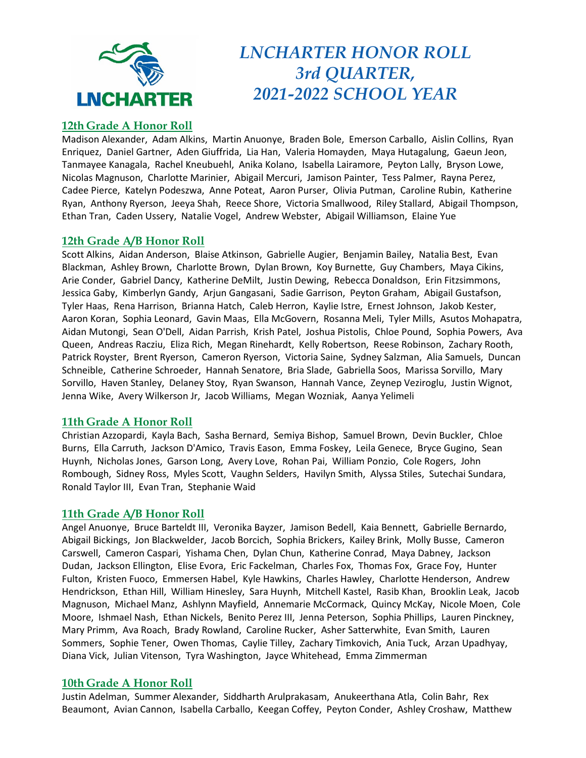

# *LNCHARTER HONOR ROLL 3rd QUARTER, 2021-2022 SCHOOL YEAR*

# **12th Grade A Honor Roll**

Madison Alexander, Adam Alkins, Martin Anuonye, Braden Bole, Emerson Carballo, Aislin Collins, Ryan Enriquez, Daniel Gartner, Aden Giuffrida, Lia Han, Valeria Homayden, Maya Hutagalung, Gaeun Jeon, Tanmayee Kanagala, Rachel Kneubuehl, Anika Kolano, Isabella Lairamore, Peyton Lally, Bryson Lowe, Nicolas Magnuson, Charlotte Marinier, Abigail Mercuri, Jamison Painter, Tess Palmer, Rayna Perez, Cadee Pierce, Katelyn Podeszwa, Anne Poteat, Aaron Purser, Olivia Putman, Caroline Rubin, Katherine Ryan, Anthony Ryerson, Jeeya Shah, Reece Shore, Victoria Smallwood, Riley Stallard, Abigail Thompson, Ethan Tran, Caden Ussery, Natalie Vogel, Andrew Webster, Abigail Williamson, Elaine Yue

# **12th Grade A/B Honor Roll**

Scott Alkins, Aidan Anderson, Blaise Atkinson, Gabrielle Augier, Benjamin Bailey, Natalia Best, Evan Blackman, Ashley Brown, Charlotte Brown, Dylan Brown, Koy Burnette, Guy Chambers, Maya Cikins, Arie Conder, Gabriel Dancy, Katherine DeMilt, Justin Dewing, Rebecca Donaldson, Erin Fitzsimmons, Jessica Gaby, Kimberlyn Gandy, Arjun Gangasani, Sadie Garrison, Peyton Graham, Abigail Gustafson, Tyler Haas, Rena Harrison, Brianna Hatch, Caleb Herron, Kaylie Istre, Ernest Johnson, Jakob Kester, Aaron Koran, Sophia Leonard, Gavin Maas, Ella McGovern, Rosanna Meli, Tyler Mills, Asutos Mohapatra, Aidan Mutongi, Sean O'Dell, Aidan Parrish, Krish Patel, Joshua Pistolis, Chloe Pound, Sophia Powers, Ava Queen, Andreas Racziu, Eliza Rich, Megan Rinehardt, Kelly Robertson, Reese Robinson, Zachary Rooth, Patrick Royster, Brent Ryerson, Cameron Ryerson, Victoria Saine, Sydney Salzman, Alia Samuels, Duncan Schneible, Catherine Schroeder, Hannah Senatore, Bria Slade, Gabriella Soos, Marissa Sorvillo, Mary Sorvillo, Haven Stanley, Delaney Stoy, Ryan Swanson, Hannah Vance, Zeynep Veziroglu, Justin Wignot, Jenna Wike, Avery Wilkerson Jr, Jacob Williams, Megan Wozniak, Aanya Yelimeli

# **11th Grade A Honor Roll**

Christian Azzopardi, Kayla Bach, Sasha Bernard, Semiya Bishop, Samuel Brown, Devin Buckler, Chloe Burns, Ella Carruth, Jackson D'Amico, Travis Eason, Emma Foskey, Leila Genece, Bryce Gugino, Sean Huynh, Nicholas Jones, Garson Long, Avery Love, Rohan Pai, William Ponzio, Cole Rogers, John Rombough, Sidney Ross, Myles Scott, Vaughn Selders, Havilyn Smith, Alyssa Stiles, Sutechai Sundara, Ronald Taylor III, Evan Tran, Stephanie Waid

#### **11th Grade A/B Honor Roll**

Angel Anuonye, Bruce Barteldt III, Veronika Bayzer, Jamison Bedell, Kaia Bennett, Gabrielle Bernardo, Abigail Bickings, Jon Blackwelder, Jacob Borcich, Sophia Brickers, Kailey Brink, Molly Busse, Cameron Carswell, Cameron Caspari, Yishama Chen, Dylan Chun, Katherine Conrad, Maya Dabney, Jackson Dudan, Jackson Ellington, Elise Evora, Eric Fackelman, Charles Fox, Thomas Fox, Grace Foy, Hunter Fulton, Kristen Fuoco, Emmersen Habel, Kyle Hawkins, Charles Hawley, Charlotte Henderson, Andrew Hendrickson, Ethan Hill, William Hinesley, Sara Huynh, Mitchell Kastel, Rasib Khan, Brooklin Leak, Jacob Magnuson, Michael Manz, Ashlynn Mayfield, Annemarie McCormack, Quincy McKay, Nicole Moen, Cole Moore, Ishmael Nash, Ethan Nickels, Benito Perez III, Jenna Peterson, Sophia Phillips, Lauren Pinckney, Mary Primm, Ava Roach, Brady Rowland, Caroline Rucker, Asher Satterwhite, Evan Smith, Lauren Sommers, Sophie Tener, Owen Thomas, Caylie Tilley, Zachary Timkovich, Ania Tuck, Arzan Upadhyay, Diana Vick, Julian Vitenson, Tyra Washington, Jayce Whitehead, Emma Zimmerman

#### **10th Grade A Honor Roll**

Justin Adelman, Summer Alexander, Siddharth Arulprakasam, Anukeerthana Atla, Colin Bahr, Rex Beaumont, Avian Cannon, Isabella Carballo, Keegan Coffey, Peyton Conder, Ashley Croshaw, Matthew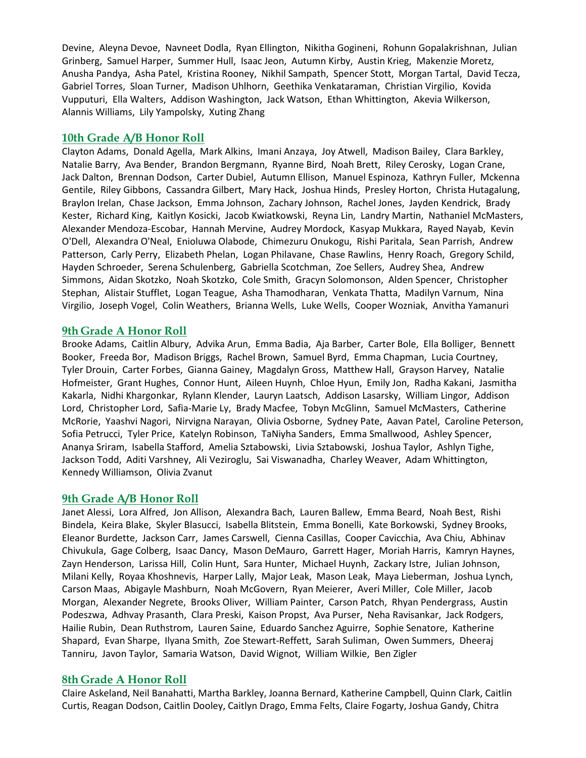Devine, Aleyna Devoe, Navneet Dodla, Ryan Ellington, Nikitha Gogineni, Rohunn Gopalakrishnan, Julian Grinberg, Samuel Harper, Summer Hull, Isaac Jeon, Autumn Kirby, Austin Krieg, Makenzie Moretz, Anusha Pandya, Asha Patel, Kristina Rooney, Nikhil Sampath, Spencer Stott, Morgan Tartal, David Tecza, Gabriel Torres, Sloan Turner, Madison Uhlhorn, Geethika Venkataraman, Christian Virgilio, Kovida Vupputuri, Ella Walters, Addison Washington, Jack Watson, Ethan Whittington, Akevia Wilkerson, Alannis Williams, Lily Yampolsky, Xuting Zhang

#### **10th Grade A/B Honor Roll**

Clayton Adams, Donald Agella, Mark Alkins, Imani Anzaya, Joy Atwell, Madison Bailey, Clara Barkley, Natalie Barry, Ava Bender, Brandon Bergmann, Ryanne Bird, Noah Brett, Riley Cerosky, Logan Crane, Jack Dalton, Brennan Dodson, Carter Dubiel, Autumn Ellison, Manuel Espinoza, Kathryn Fuller, Mckenna Gentile, Riley Gibbons, Cassandra Gilbert, Mary Hack, Joshua Hinds, Presley Horton, Christa Hutagalung, Braylon Irelan, Chase Jackson, Emma Johnson, Zachary Johnson, Rachel Jones, Jayden Kendrick, Brady Kester, Richard King, Kaitlyn Kosicki, Jacob Kwiatkowski, Reyna Lin, Landry Martin, Nathaniel McMasters, Alexander Mendoza-Escobar, Hannah Mervine, Audrey Mordock, Kasyap Mukkara, Rayed Nayab, Kevin O'Dell, Alexandra O'Neal, Enioluwa Olabode, Chimezuru Onukogu, Rishi Paritala, Sean Parrish, Andrew Patterson, Carly Perry, Elizabeth Phelan, Logan Philavane, Chase Rawlins, Henry Roach, Gregory Schild, Hayden Schroeder, Serena Schulenberg, Gabriella Scotchman, Zoe Sellers, Audrey Shea, Andrew Simmons, Aidan Skotzko, Noah Skotzko, Cole Smith, Gracyn Solomonson, Alden Spencer, Christopher Stephan, Alistair Stufflet, Logan Teague, Asha Thamodharan, Venkata Thatta, Madilyn Varnum, Nina Virgilio, Joseph Vogel, Colin Weathers, Brianna Wells, Luke Wells, Cooper Wozniak, Anvitha Yamanuri

#### **9th Grade A Honor Roll**

Brooke Adams, Caitlin Albury, Advika Arun, Emma Badia, Aja Barber, Carter Bole, Ella Bolliger, Bennett Booker, Freeda Bor, Madison Briggs, Rachel Brown, Samuel Byrd, Emma Chapman, Lucia Courtney, Tyler Drouin, Carter Forbes, Gianna Gainey, Magdalyn Gross, Matthew Hall, Grayson Harvey, Natalie Hofmeister, Grant Hughes, Connor Hunt, Aileen Huynh, Chloe Hyun, Emily Jon, Radha Kakani, Jasmitha Kakarla, Nidhi Khargonkar, Rylann Klender, Lauryn Laatsch, Addison Lasarsky, William Lingor, Addison Lord, Christopher Lord, Safia-Marie Ly, Brady Macfee, Tobyn McGlinn, Samuel McMasters, Catherine McRorie, Yaashvi Nagori, Nirvigna Narayan, Olivia Osborne, Sydney Pate, Aavan Patel, Caroline Peterson, Sofia Petrucci, Tyler Price, Katelyn Robinson, TaNiyha Sanders, Emma Smallwood, Ashley Spencer, Ananya Sriram, Isabella Stafford, Amelia Sztabowski, Livia Sztabowski, Joshua Taylor, Ashlyn Tighe, Jackson Todd, Aditi Varshney, Ali Veziroglu, Sai Viswanadha, Charley Weaver, Adam Whittington, Kennedy Williamson, Olivia Zvanut

#### **9th Grade A/B Honor Roll**

Janet Alessi, Lora Alfred, Jon Allison, Alexandra Bach, Lauren Ballew, Emma Beard, Noah Best, Rishi Bindela, Keira Blake, Skyler Blasucci, Isabella Blitstein, Emma Bonelli, Kate Borkowski, Sydney Brooks, Eleanor Burdette, Jackson Carr, James Carswell, Cienna Casillas, Cooper Cavicchia, Ava Chiu, Abhinav Chivukula, Gage Colberg, Isaac Dancy, Mason DeMauro, Garrett Hager, Moriah Harris, Kamryn Haynes, Zayn Henderson, Larissa Hill, Colin Hunt, Sara Hunter, Michael Huynh, Zackary Istre, Julian Johnson, Milani Kelly, Royaa Khoshnevis, Harper Lally, Major Leak, Mason Leak, Maya Lieberman, Joshua Lynch, Carson Maas, Abigayle Mashburn, Noah McGovern, Ryan Meierer, Averi Miller, Cole Miller, Jacob Morgan, Alexander Negrete, Brooks Oliver, William Painter, Carson Patch, Rhyan Pendergrass, Austin Podeszwa, Adhvay Prasanth, Clara Preski, Kaison Propst, Ava Purser, Neha Ravisankar, Jack Rodgers, Hailie Rubin, Dean Ruthstrom, Lauren Saine, Eduardo Sanchez Aguirre, Sophie Senatore, Katherine Shapard, Evan Sharpe, Ilyana Smith, Zoe Stewart-Reffett, Sarah Suliman, Owen Summers, Dheeraj Tanniru, Javon Taylor, Samaria Watson, David Wignot, William Wilkie, Ben Zigler

#### **8th Grade A Honor Roll**

Claire Askeland, Neil Banahatti, Martha Barkley, Joanna Bernard, Katherine Campbell, Quinn Clark, Caitlin Curtis, Reagan Dodson, Caitlin Dooley, Caitlyn Drago, Emma Felts, Claire Fogarty, Joshua Gandy, Chitra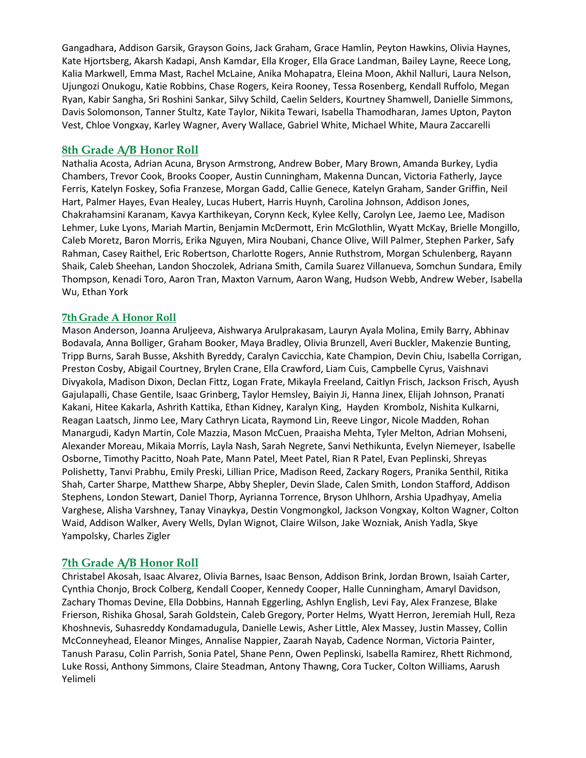Gangadhara, Addison Garsik, Grayson Goins, Jack Graham, Grace Hamlin, Peyton Hawkins, Olivia Haynes, Kate Hjortsberg, Akarsh Kadapi, Ansh Kamdar, Ella Kroger, Ella Grace Landman, Bailey Layne, Reece Long, Kalia Markwell, Emma Mast, Rachel McLaine, Anika Mohapatra, Eleina Moon, Akhil Nalluri, Laura Nelson, Ujungozi Onukogu, Katie Robbins, Chase Rogers, Keira Rooney, Tessa Rosenberg, Kendall Ruffolo, Megan Ryan, Kabir Sangha, Sri Roshini Sankar, Silvy Schild, Caelin Selders, Kourtney Shamwell, Danielle Simmons, Davis Solomonson, Tanner Stultz, Kate Taylor, Nikita Tewari, Isabella Thamodharan, James Upton, Payton Vest, Chloe Vongxay, Karley Wagner, Avery Wallace, Gabriel White, Michael White, Maura Zaccarelli

# **8th Grade A/B Honor Roll**

Nathalia Acosta, Adrian Acuna, Bryson Armstrong, Andrew Bober, Mary Brown, Amanda Burkey, Lydia Chambers, Trevor Cook, Brooks Cooper, Austin Cunningham, Makenna Duncan, Victoria Fatherly, Jayce Ferris, Katelyn Foskey, Sofia Franzese, Morgan Gadd, Callie Genece, Katelyn Graham, Sander Griffin, Neil Hart, Palmer Hayes, Evan Healey, Lucas Hubert, Harris Huynh, Carolina Johnson, Addison Jones, Chakrahamsini Karanam, Kavya Karthikeyan, Corynn Keck, Kylee Kelly, Carolyn Lee, Jaemo Lee, Madison Lehmer, Luke Lyons, Mariah Martin, Benjamin McDermott, Erin McGlothlin, Wyatt McKay, Brielle Mongillo, Caleb Moretz, Baron Morris, Erika Nguyen, Mira Noubani, Chance Olive, Will Palmer, Stephen Parker, Safy Rahman, Casey Raithel, Eric Robertson, Charlotte Rogers, Annie Ruthstrom, Morgan Schulenberg, Rayann Shaik, Caleb Sheehan, Landon Shoczolek, Adriana Smith, Camila Suarez Villanueva, Somchun Sundara, Emily Thompson, Kenadi Toro, Aaron Tran, Maxton Varnum, Aaron Wang, Hudson Webb, Andrew Weber, Isabella Wu, Ethan York

#### **7th Grade A Honor Roll**

Mason Anderson, Joanna Aruljeeva, Aishwarya Arulprakasam, Lauryn Ayala Molina, Emily Barry, Abhinav Bodavala, Anna Bolliger, Graham Booker, Maya Bradley, Olivia Brunzell, Averi Buckler, Makenzie Bunting, Tripp Burns, Sarah Busse, Akshith Byreddy, Caralyn Cavicchia, Kate Champion, Devin Chiu, Isabella Corrigan, Preston Cosby, Abigail Courtney, Brylen Crane, Ella Crawford, Liam Cuis, Campbelle Cyrus, Vaishnavi Divyakola, Madison Dixon, Declan Fittz, Logan Frate, Mikayla Freeland, Caitlyn Frisch, Jackson Frisch, Ayush Gajulapalli, Chase Gentile, Isaac Grinberg, Taylor Hemsley, Baiyin Ji, Hanna Jinex, Elijah Johnson, Pranati Kakani, Hitee Kakarla, Ashrith Kattika, Ethan Kidney, Karalyn King, Hayden Krombolz, Nishita Kulkarni, Reagan Laatsch, Jinmo Lee, Mary Cathryn Licata, Raymond Lin, Reeve Lingor, Nicole Madden, Rohan Manargudi, Kadyn Martin, Cole Mazzia, Mason McCuen, Praaisha Mehta, Tyler Melton, Adrian Mohseni, Alexander Moreau, Mikaia Morris, Layla Nash, Sarah Negrete, Sanvi Nethikunta, Evelyn Niemeyer, Isabelle Osborne, Timothy Pacitto, Noah Pate, Mann Patel, Meet Patel, Rian R Patel, Evan Peplinski, Shreyas Polishetty, Tanvi Prabhu, Emily Preski, Lillian Price, Madison Reed, Zackary Rogers, Pranika Senthil, Ritika Shah, Carter Sharpe, Matthew Sharpe, Abby Shepler, Devin Slade, Calen Smith, London Stafford, Addison Stephens, London Stewart, Daniel Thorp, Ayrianna Torrence, Bryson Uhlhorn, Arshia Upadhyay, Amelia Varghese, Alisha Varshney, Tanay Vinaykya, Destin Vongmongkol, Jackson Vongxay, Kolton Wagner, Colton Waid, Addison Walker, Avery Wells, Dylan Wignot, Claire Wilson, Jake Wozniak, Anish Yadla, Skye Yampolsky, Charles Zigler

# **7th Grade A/B Honor Roll**

Christabel Akosah, Isaac Alvarez, Olivia Barnes, Isaac Benson, Addison Brink, Jordan Brown, Isaiah Carter, Cynthia Chonjo, Brock Colberg, Kendall Cooper, Kennedy Cooper, Halle Cunningham, Amaryl Davidson, Zachary Thomas Devine, Ella Dobbins, Hannah Eggerling, Ashlyn English, Levi Fay, Alex Franzese, Blake Frierson, Rishika Ghosal, Sarah Goldstein, Caleb Gregory, Porter Helms, Wyatt Herron, Jeremiah Hull, Reza Khoshnevis, Suhasreddy Kondamadugula, Danielle Lewis, Asher Little, Alex Massey, Justin Massey, Collin McConneyhead, Eleanor Minges, Annalise Nappier, Zaarah Nayab, Cadence Norman, Victoria Painter, Tanush Parasu, Colin Parrish, Sonia Patel, Shane Penn, Owen Peplinski, Isabella Ramirez, Rhett Richmond, Luke Rossi, Anthony Simmons, Claire Steadman, Antony Thawng, Cora Tucker, Colton Williams, Aarush Yelimeli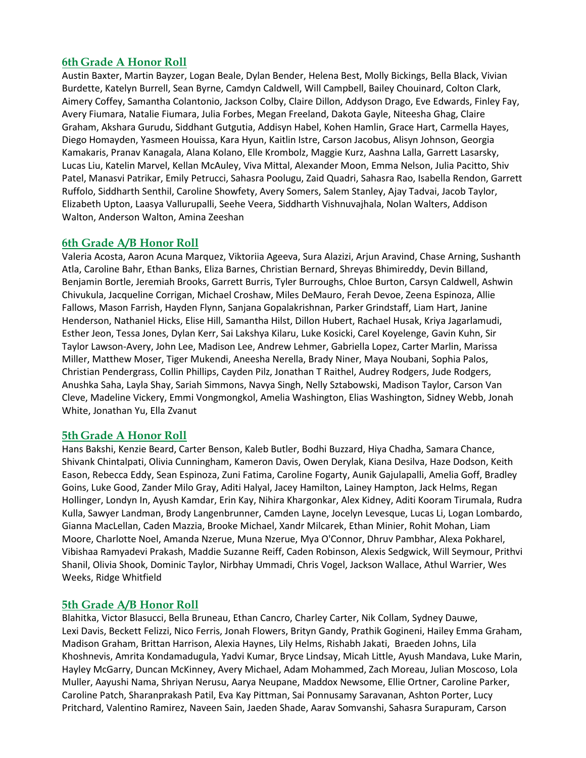# **6th Grade A Honor Roll**

Austin Baxter, Martin Bayzer, Logan Beale, Dylan Bender, Helena Best, Molly Bickings, Bella Black, Vivian Burdette, Katelyn Burrell, Sean Byrne, Camdyn Caldwell, Will Campbell, Bailey Chouinard, Colton Clark, Aimery Coffey, Samantha Colantonio, Jackson Colby, Claire Dillon, Addyson Drago, Eve Edwards, Finley Fay, Avery Fiumara, Natalie Fiumara, Julia Forbes, Megan Freeland, Dakota Gayle, Niteesha Ghag, Claire Graham, Akshara Gurudu, Siddhant Gutgutia, Addisyn Habel, Kohen Hamlin, Grace Hart, Carmella Hayes, Diego Homayden, Yasmeen Houissa, Kara Hyun, Kaitlin Istre, Carson Jacobus, Alisyn Johnson, Georgia Kamakaris, Pranav Kanagala, Alana Kolano, Elle Krombolz, Maggie Kurz, Aashna Lalla, Garrett Lasarsky, Lucas Liu, Katelin Marvel, Kellan McAuley, Viva Mittal, Alexander Moon, Emma Nelson, Julia Pacitto, Shiv Patel, Manasvi Patrikar, Emily Petrucci, Sahasra Poolugu, Zaid Quadri, Sahasra Rao, Isabella Rendon, Garrett Ruffolo, Siddharth Senthil, Caroline Showfety, Avery Somers, Salem Stanley, Ajay Tadvai, Jacob Taylor, Elizabeth Upton, Laasya Vallurupalli, Seehe Veera, Siddharth Vishnuvajhala, Nolan Walters, Addison Walton, Anderson Walton, Amina Zeeshan

# **6th Grade A/B Honor Roll**

Valeria Acosta, Aaron Acuna Marquez, Viktoriia Ageeva, Sura Alazizi, Arjun Aravind, Chase Arning, Sushanth Atla, Caroline Bahr, Ethan Banks, Eliza Barnes, Christian Bernard, Shreyas Bhimireddy, Devin Billand, Benjamin Bortle, Jeremiah Brooks, Garrett Burris, Tyler Burroughs, Chloe Burton, Carsyn Caldwell, Ashwin Chivukula, Jacqueline Corrigan, Michael Croshaw, Miles DeMauro, Ferah Devoe, Zeena Espinoza, Allie Fallows, Mason Farrish, Hayden Flynn, Sanjana Gopalakrishnan, Parker Grindstaff, Liam Hart, Janine Henderson, Nathaniel Hicks, Elise Hill, Samantha Hilst, Dillon Hubert, Rachael Husak, Kriya Jagarlamudi, Esther Jeon, Tessa Jones, Dylan Kerr, Sai Lakshya Kilaru, Luke Kosicki, Carel Koyelenge, Gavin Kuhn, Sir Taylor Lawson-Avery, John Lee, Madison Lee, Andrew Lehmer, Gabriella Lopez, Carter Marlin, Marissa Miller, Matthew Moser, Tiger Mukendi, Aneesha Nerella, Brady Niner, Maya Noubani, Sophia Palos, Christian Pendergrass, Collin Phillips, Cayden Pilz, Jonathan T Raithel, Audrey Rodgers, Jude Rodgers, Anushka Saha, Layla Shay, Sariah Simmons, Navya Singh, Nelly Sztabowski, Madison Taylor, Carson Van Cleve, Madeline Vickery, Emmi Vongmongkol, Amelia Washington, Elias Washington, Sidney Webb, Jonah White, Jonathan Yu, Ella Zvanut

# **5th Grade A Honor Roll**

Hans Bakshi, Kenzie Beard, Carter Benson, Kaleb Butler, Bodhi Buzzard, Hiya Chadha, Samara Chance, Shivank Chintalpati, Olivia Cunningham, Kameron Davis, Owen Derylak, Kiana Desilva, Haze Dodson, Keith Eason, Rebecca Eddy, Sean Espinoza, Zuni Fatima, Caroline Fogarty, Aunik Gajulapalli, Amelia Goff, Bradley Goins, Luke Good, Zander Milo Gray, Aditi Halyal, Jacey Hamilton, Lainey Hampton, Jack Helms, Regan Hollinger, Londyn In, Ayush Kamdar, Erin Kay, Nihira Khargonkar, Alex Kidney, Aditi Kooram Tirumala, Rudra Kulla, Sawyer Landman, Brody Langenbrunner, Camden Layne, Jocelyn Levesque, Lucas Li, Logan Lombardo, Gianna MacLellan, Caden Mazzia, Brooke Michael, Xandr Milcarek, Ethan Minier, Rohit Mohan, Liam Moore, Charlotte Noel, Amanda Nzerue, Muna Nzerue, Mya O'Connor, Dhruv Pambhar, Alexa Pokharel, Vibishaa Ramyadevi Prakash, Maddie Suzanne Reiff, Caden Robinson, Alexis Sedgwick, Will Seymour, Prithvi Shanil, Olivia Shook, Dominic Taylor, Nirbhay Ummadi, Chris Vogel, Jackson Wallace, Athul Warrier, Wes Weeks, Ridge Whitfield

# **5th Grade A/B Honor Roll**

Blahitka, Victor Blasucci, Bella Bruneau, Ethan Cancro, Charley Carter, Nik Collam, Sydney Dauwe, Lexi Davis, Beckett Felizzi, Nico Ferris, Jonah Flowers, Brityn Gandy, Prathik Gogineni, Hailey Emma Graham, Madison Graham, Brittan Harrison, Alexia Haynes, Lily Helms, Rishabh Jakati, Braeden Johns, Lila Khoshnevis, Amrita Kondamadugula, Yadvi Kumar, Bryce Lindsay, Micah Little, Ayush Mandava, Luke Marin, Hayley McGarry, Duncan McKinney, Avery Michael, Adam Mohammed, Zach Moreau, Julian Moscoso, Lola Muller, Aayushi Nama, Shriyan Nerusu, Aarya Neupane, Maddox Newsome, Ellie Ortner, Caroline Parker, Caroline Patch, Sharanprakash Patil, Eva Kay Pittman, Sai Ponnusamy Saravanan, Ashton Porter, Lucy Pritchard, Valentino Ramirez, Naveen Sain, Jaeden Shade, Aarav Somvanshi, Sahasra Surapuram, Carson